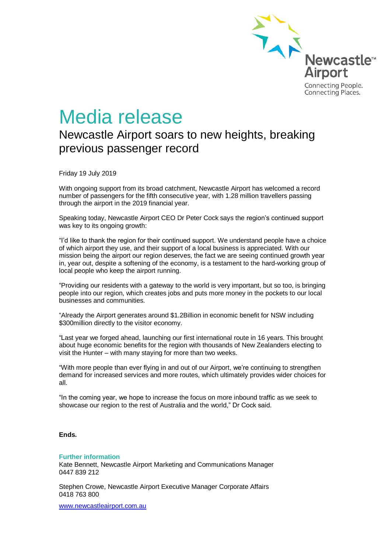

# Media release

# Newcastle Airport soars to new heights, breaking previous passenger record

Friday 19 July 2019

With ongoing support from its broad catchment, Newcastle Airport has welcomed a record number of passengers for the fifth consecutive year, with 1.28 million travellers passing through the airport in the 2019 financial year.

Speaking today, Newcastle Airport CEO Dr Peter Cock says the region's continued support was key to its ongoing growth:

"I'd like to thank the region for their continued support. We understand people have a choice of which airport they use, and their support of a local business is appreciated. With our mission being the airport our region deserves, the fact we are seeing continued growth year in, year out, despite a softening of the economy, is a testament to the hard-working group of local people who keep the airport running.

"Providing our residents with a gateway to the world is very important, but so too, is bringing people into our region, which creates jobs and puts more money in the pockets to our local businesses and communities.

"Already the Airport generates around \$1.2Billion in economic benefit for NSW including \$300million directly to the visitor economy.

"Last year we forged ahead, launching our first international route in 16 years. This brought about huge economic benefits for the region with thousands of New Zealanders electing to visit the Hunter – with many staying for more than two weeks.

"With more people than ever flying in and out of our Airport, we're continuing to strengthen demand for increased services and more routes, which ultimately provides wider choices for all.

"In the coming year, we hope to increase the focus on more inbound traffic as we seek to showcase our region to the rest of Australia and the world," Dr Cock said.

## **Ends.**

#### **Further information**

Kate Bennett, Newcastle Airport Marketing and Communications Manager 0447 839 212

Stephen Crowe, Newcastle Airport Executive Manager Corporate Affairs 0418 763 800

[www.newcastleairport.com.au](http://www.newcastleairport.com.au/)